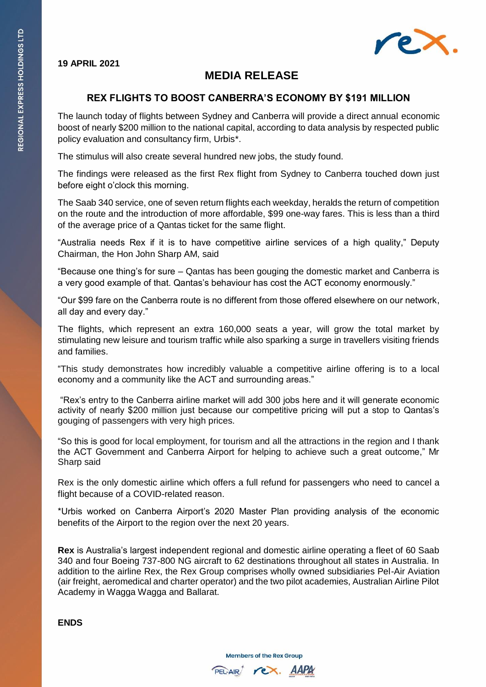

#### **19 APRIL 2021**

# **MEDIA RELEASE**

## **REX FLIGHTS TO BOOST CANBERRA'S ECONOMY BY \$191 MILLION**

The launch today of flights between Sydney and Canberra will provide a direct annual economic boost of nearly \$200 million to the national capital, according to data analysis by respected public policy evaluation and consultancy firm, Urbis\*.

The stimulus will also create several hundred new jobs, the study found.

The findings were released as the first Rex flight from Sydney to Canberra touched down just before eight o'clock this morning.

The Saab 340 service, one of seven return flights each weekday, heralds the return of competition on the route and the introduction of more affordable, \$99 one-way fares. This is less than a third of the average price of a Qantas ticket for the same flight.

"Australia needs Rex if it is to have competitive airline services of a high quality," Deputy Chairman, the Hon John Sharp AM, said

"Because one thing's for sure – Qantas has been gouging the domestic market and Canberra is a very good example of that. Qantas's behaviour has cost the ACT economy enormously."

"Our \$99 fare on the Canberra route is no different from those offered elsewhere on our network, all day and every day."

The flights, which represent an extra 160,000 seats a year, will grow the total market by stimulating new leisure and tourism traffic while also sparking a surge in travellers visiting friends and families.

"This study demonstrates how incredibly valuable a competitive airline offering is to a local economy and a community like the ACT and surrounding areas."

"Rex's entry to the Canberra airline market will add 300 jobs here and it will generate economic activity of nearly \$200 million just because our competitive pricing will put a stop to Qantas's gouging of passengers with very high prices.

"So this is good for local employment, for tourism and all the attractions in the region and I thank the ACT Government and Canberra Airport for helping to achieve such a great outcome," Mr Sharp said

Rex is the only domestic airline which offers a full refund for passengers who need to cancel a flight because of a COVID-related reason.

\*Urbis worked on Canberra Airport's 2020 Master Plan providing analysis of the economic benefits of the Airport to the region over the next 20 years.

**Rex** is Australia's largest independent regional and domestic airline operating a fleet of 60 Saab 340 and four Boeing 737-800 NG aircraft to 62 destinations throughout all states in Australia. In addition to the airline Rex, the Rex Group comprises wholly owned subsidiaries Pel-Air Aviation (air freight, aeromedical and charter operator) and the two pilot academies, Australian Airline Pilot Academy in Wagga Wagga and Ballarat.

#### **ENDS**

**Members of the Rex Group**